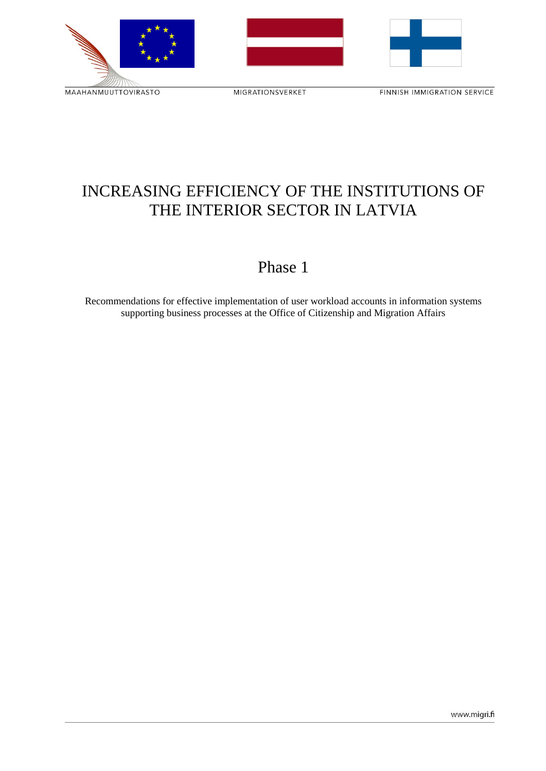MAAHANMUUTTOVIRASTO

MIGRATIONSVERKET

FINNISH IMMIGRATION SERVICE

# INCREASING EFFICIENCY OF THE INSTITUTIONS OF THE INTERIOR SECTOR IN LATVIA

## Phase 1

Recommendations for effective implementation of user workload accounts in information systems supporting business processes at the Office of Citizenship and Migration Affairs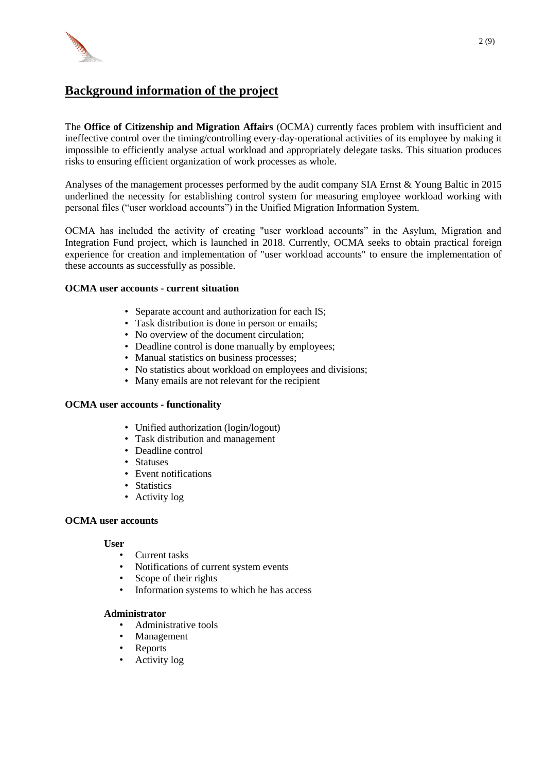

### **Background information of the project**

The **Office of Citizenship and Migration Affairs** (OCMA) currently faces problem with insufficient and ineffective control over the timing/controlling every-day-operational activities of its employee by making it impossible to efficiently analyse actual workload and appropriately delegate tasks. This situation produces risks to ensuring efficient organization of work processes as whole.

Analyses of the management processes performed by the audit company SIA Ernst & Young Baltic in 2015 underlined the necessity for establishing control system for measuring employee workload working with personal files ("user workload accounts") in the Unified Migration Information System.

OCMA has included the activity of creating "user workload accounts" in the Asylum, Migration and Integration Fund project, which is launched in 2018. Currently, OCMA seeks to obtain practical foreign experience for creation and implementation of "user workload accounts" to ensure the implementation of these accounts as successfully as possible.

#### **OCMA user accounts - current situation**

- Separate account and authorization for each IS;
- Task distribution is done in person or emails:
- No overview of the document circulation:
- Deadline control is done manually by employees;
- Manual statistics on business processes;
- No statistics about workload on employees and divisions;
- Many emails are not relevant for the recipient

#### **OCMA user accounts - functionality**

- Unified authorization (login/logout)
- Task distribution and management
- Deadline control
- Statuses
- Event notifications
- Statistics
- Activity log

#### **OCMA user accounts**

#### **User**

- Current tasks
- Notifications of current system events
- Scope of their rights
- Information systems to which he has access

#### **Administrator**

- Administrative tools
- **Management**
- **Reports**
- Activity log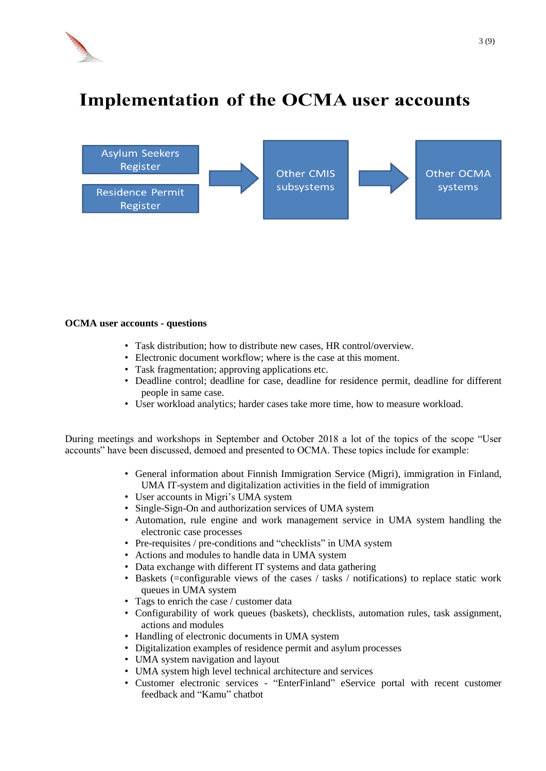

# **Implementation of the OCMA user accounts**



#### **OCMA user accounts - questions**

- Task distribution; how to distribute new cases, HR control/overview.
- Electronic document workflow; where is the case at this moment.
- Task fragmentation; approving applications etc.
- Deadline control; deadline for case, deadline for residence permit, deadline for different people in same case.
- User workload analytics; harder cases take more time, how to measure workload.

During meetings and workshops in September and October 2018 a lot of the topics of the scope "User accounts" have been discussed, demoed and presented to OCMA. These topics include for example:

- General information about Finnish Immigration Service (Migri), immigration in Finland, UMA IT-system and digitalization activities in the field of immigration
- User accounts in Migri's UMA system
- Single-Sign-On and authorization services of UMA system
- Automation, rule engine and work management service in UMA system handling the electronic case processes
- Pre-requisites / pre-conditions and "checklists" in UMA system
- Actions and modules to handle data in UMA system
- Data exchange with different IT systems and data gathering
- Baskets (=configurable views of the cases / tasks / notifications) to replace static work queues in UMA system
- Tags to enrich the case / customer data
- Configurability of work queues (baskets), checklists, automation rules, task assignment, actions and modules
- Handling of electronic documents in UMA system
- Digitalization examples of residence permit and asylum processes
- UMA system navigation and layout
- UMA system high level technical architecture and services
- Customer electronic services "EnterFinland" eService portal with recent customer feedback and "Kamu" chatbot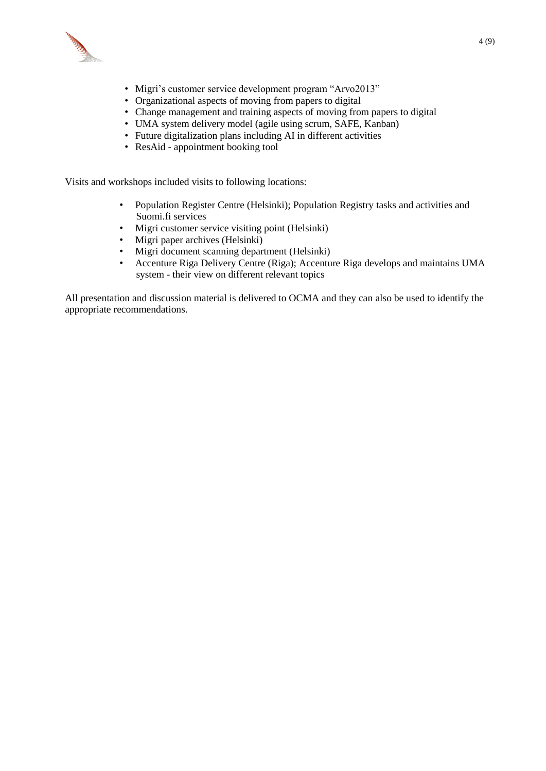

- Migri's customer service development program "Arvo2013"
- Organizational aspects of moving from papers to digital
- Change management and training aspects of moving from papers to digital
- UMA system delivery model (agile using scrum, SAFE, Kanban)
- Future digitalization plans including AI in different activities
- ResAid appointment booking tool

Visits and workshops included visits to following locations:

- Population Register Centre (Helsinki); Population Registry tasks and activities and Suomi.fi services
- Migri customer service visiting point (Helsinki)
- Migri paper archives (Helsinki)
- Migri document scanning department (Helsinki)
- Accenture Riga Delivery Centre (Riga); Accenture Riga develops and maintains UMA system - their view on different relevant topics

All presentation and discussion material is delivered to OCMA and they can also be used to identify the appropriate recommendations.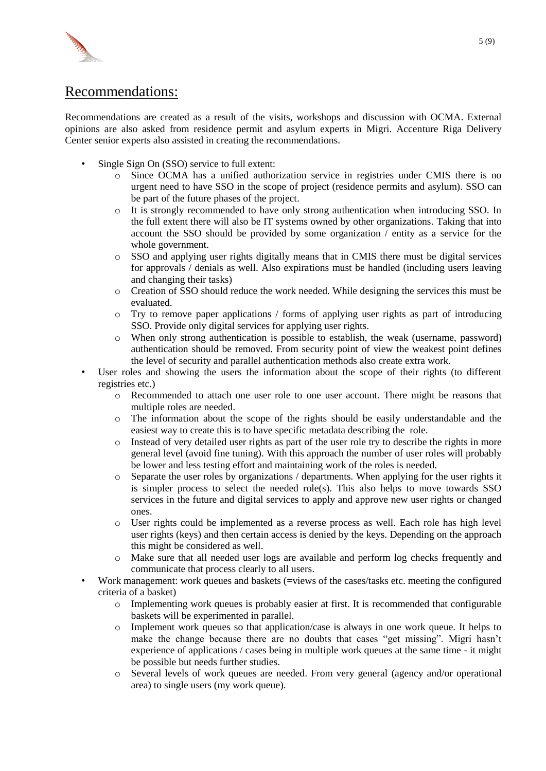

## Recommendations:

Recommendations are created as a result of the visits, workshops and discussion with OCMA. External opinions are also asked from residence permit and asylum experts in Migri. Accenture Riga Delivery Center senior experts also assisted in creating the recommendations.

- Single Sign On (SSO) service to full extent:
	- o Since OCMA has a unified authorization service in registries under CMIS there is no urgent need to have SSO in the scope of project (residence permits and asylum). SSO can be part of the future phases of the project.
	- o It is strongly recommended to have only strong authentication when introducing SSO. In the full extent there will also be IT systems owned by other organizations. Taking that into account the SSO should be provided by some organization / entity as a service for the whole government.
	- $\circ$  SSO and applying user rights digitally means that in CMIS there must be digital services for approvals / denials as well. Also expirations must be handled (including users leaving and changing their tasks)
	- o Creation of SSO should reduce the work needed. While designing the services this must be evaluated.
	- o Try to remove paper applications / forms of applying user rights as part of introducing SSO. Provide only digital services for applying user rights.
	- o When only strong authentication is possible to establish, the weak (username, password) authentication should be removed. From security point of view the weakest point defines the level of security and parallel authentication methods also create extra work.
- User roles and showing the users the information about the scope of their rights (to different registries etc.)
	- o Recommended to attach one user role to one user account. There might be reasons that multiple roles are needed.
	- o The information about the scope of the rights should be easily understandable and the easiest way to create this is to have specific metadata describing the role.
	- o Instead of very detailed user rights as part of the user role try to describe the rights in more general level (avoid fine tuning). With this approach the number of user roles will probably be lower and less testing effort and maintaining work of the roles is needed.
	- o Separate the user roles by organizations / departments. When applying for the user rights it is simpler process to select the needed role(s). This also helps to move towards SSO services in the future and digital services to apply and approve new user rights or changed ones.
	- o User rights could be implemented as a reverse process as well. Each role has high level user rights (keys) and then certain access is denied by the keys. Depending on the approach this might be considered as well.
	- o Make sure that all needed user logs are available and perform log checks frequently and communicate that process clearly to all users.
- Work management: work queues and baskets (=views of the cases/tasks etc. meeting the configured criteria of a basket)
	- o Implementing work queues is probably easier at first. It is recommended that configurable baskets will be experimented in parallel.
	- o Implement work queues so that application/case is always in one work queue. It helps to make the change because there are no doubts that cases "get missing". Migri hasn't experience of applications / cases being in multiple work queues at the same time - it might be possible but needs further studies.
	- o Several levels of work queues are needed. From very general (agency and/or operational area) to single users (my work queue).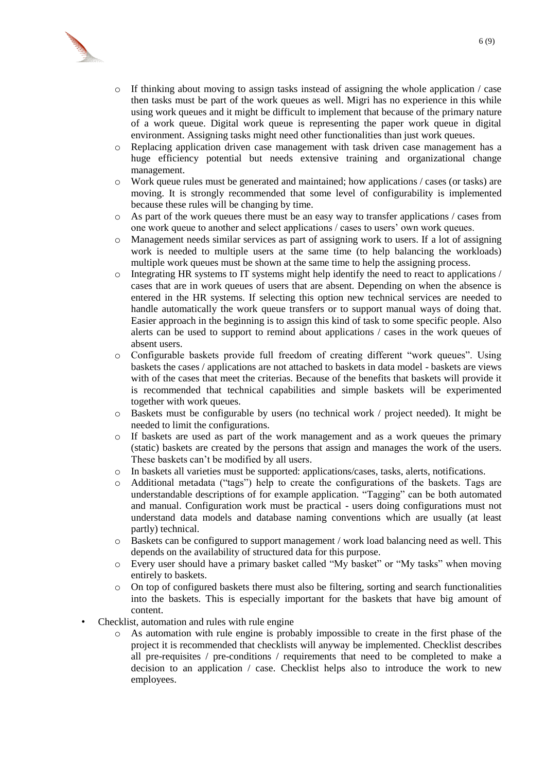

- o If thinking about moving to assign tasks instead of assigning the whole application / case then tasks must be part of the work queues as well. Migri has no experience in this while using work queues and it might be difficult to implement that because of the primary nature of a work queue. Digital work queue is representing the paper work queue in digital environment. Assigning tasks might need other functionalities than just work queues.
- o Replacing application driven case management with task driven case management has a huge efficiency potential but needs extensive training and organizational change management.
- $\circ$  Work queue rules must be generated and maintained; how applications / cases (or tasks) are moving. It is strongly recommended that some level of configurability is implemented because these rules will be changing by time.
- o As part of the work queues there must be an easy way to transfer applications / cases from one work queue to another and select applications / cases to users' own work queues.
- o Management needs similar services as part of assigning work to users. If a lot of assigning work is needed to multiple users at the same time (to help balancing the workloads) multiple work queues must be shown at the same time to help the assigning process.
- $\circ$  Integrating HR systems to IT systems might help identify the need to react to applications / cases that are in work queues of users that are absent. Depending on when the absence is entered in the HR systems. If selecting this option new technical services are needed to handle automatically the work queue transfers or to support manual ways of doing that. Easier approach in the beginning is to assign this kind of task to some specific people. Also alerts can be used to support to remind about applications / cases in the work queues of absent users.
- o Configurable baskets provide full freedom of creating different "work queues". Using baskets the cases / applications are not attached to baskets in data model - baskets are views with of the cases that meet the criterias. Because of the benefits that baskets will provide it is recommended that technical capabilities and simple baskets will be experimented together with work queues.
- $\circ$  Baskets must be configurable by users (no technical work / project needed). It might be needed to limit the configurations.
- o If baskets are used as part of the work management and as a work queues the primary (static) baskets are created by the persons that assign and manages the work of the users. These baskets can't be modified by all users.
- o In baskets all varieties must be supported: applications/cases, tasks, alerts, notifications.
- o Additional metadata ("tags") help to create the configurations of the baskets. Tags are understandable descriptions of for example application. "Tagging" can be both automated and manual. Configuration work must be practical - users doing configurations must not understand data models and database naming conventions which are usually (at least partly) technical.
- o Baskets can be configured to support management / work load balancing need as well. This depends on the availability of structured data for this purpose.
- o Every user should have a primary basket called "My basket" or "My tasks" when moving entirely to baskets.
- o On top of configured baskets there must also be filtering, sorting and search functionalities into the baskets. This is especially important for the baskets that have big amount of content.
- Checklist, automation and rules with rule engine
	- o As automation with rule engine is probably impossible to create in the first phase of the project it is recommended that checklists will anyway be implemented. Checklist describes all pre-requisites / pre-conditions / requirements that need to be completed to make a decision to an application / case. Checklist helps also to introduce the work to new employees.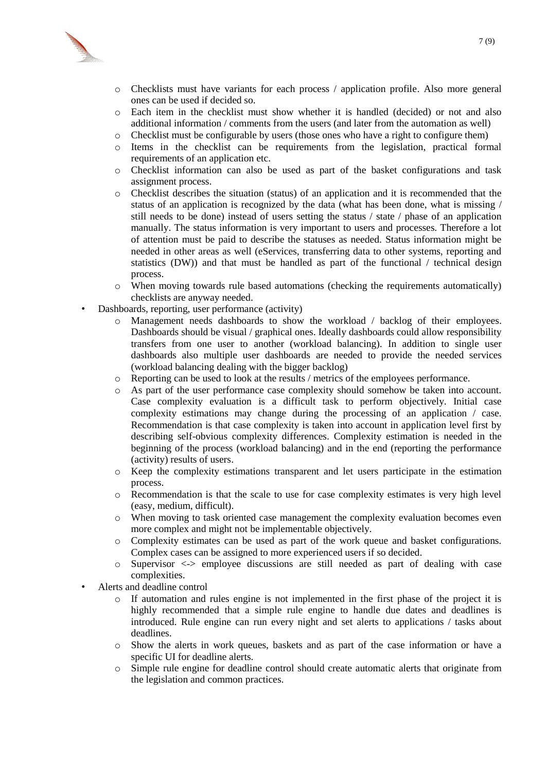

- o Checklists must have variants for each process / application profile. Also more general ones can be used if decided so.
- o Each item in the checklist must show whether it is handled (decided) or not and also additional information / comments from the users (and later from the automation as well)
- o Checklist must be configurable by users (those ones who have a right to configure them)
- o Items in the checklist can be requirements from the legislation, practical formal requirements of an application etc.
- o Checklist information can also be used as part of the basket configurations and task assignment process.
- o Checklist describes the situation (status) of an application and it is recommended that the status of an application is recognized by the data (what has been done, what is missing / still needs to be done) instead of users setting the status / state / phase of an application manually. The status information is very important to users and processes. Therefore a lot of attention must be paid to describe the statuses as needed. Status information might be needed in other areas as well (eServices, transferring data to other systems, reporting and statistics (DW)) and that must be handled as part of the functional  $/$  technical design process.
- o When moving towards rule based automations (checking the requirements automatically) checklists are anyway needed.
- Dashboards, reporting, user performance (activity)
	- o Management needs dashboards to show the workload / backlog of their employees. Dashboards should be visual / graphical ones. Ideally dashboards could allow responsibility transfers from one user to another (workload balancing). In addition to single user dashboards also multiple user dashboards are needed to provide the needed services (workload balancing dealing with the bigger backlog)
	- o Reporting can be used to look at the results / metrics of the employees performance.
	- o As part of the user performance case complexity should somehow be taken into account. Case complexity evaluation is a difficult task to perform objectively. Initial case complexity estimations may change during the processing of an application / case. Recommendation is that case complexity is taken into account in application level first by describing self-obvious complexity differences. Complexity estimation is needed in the beginning of the process (workload balancing) and in the end (reporting the performance (activity) results of users.
	- o Keep the complexity estimations transparent and let users participate in the estimation process.
	- o Recommendation is that the scale to use for case complexity estimates is very high level (easy, medium, difficult).
	- o When moving to task oriented case management the complexity evaluation becomes even more complex and might not be implementable objectively.
	- o Complexity estimates can be used as part of the work queue and basket configurations. Complex cases can be assigned to more experienced users if so decided.
	- $\circ$  Supervisor  $\lt\gt$  employee discussions are still needed as part of dealing with case complexities.
- Alerts and deadline control
	- $\circ$  If automation and rules engine is not implemented in the first phase of the project it is highly recommended that a simple rule engine to handle due dates and deadlines is introduced. Rule engine can run every night and set alerts to applications / tasks about deadlines.
	- o Show the alerts in work queues, baskets and as part of the case information or have a specific UI for deadline alerts.
	- o Simple rule engine for deadline control should create automatic alerts that originate from the legislation and common practices.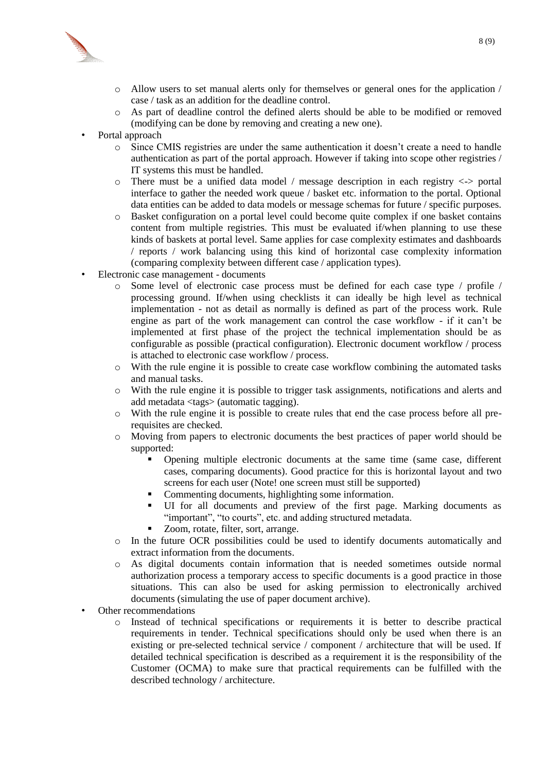

- $\circ$  Allow users to set manual alerts only for themselves or general ones for the application / case / task as an addition for the deadline control.
- o As part of deadline control the defined alerts should be able to be modified or removed (modifying can be done by removing and creating a new one).
- Portal approach
	- o Since CMIS registries are under the same authentication it doesn't create a need to handle authentication as part of the portal approach. However if taking into scope other registries / IT systems this must be handled.
	- o There must be a unified data model / message description in each registry <-> portal interface to gather the needed work queue / basket etc. information to the portal. Optional data entities can be added to data models or message schemas for future / specific purposes.
	- o Basket configuration on a portal level could become quite complex if one basket contains content from multiple registries. This must be evaluated if/when planning to use these kinds of baskets at portal level. Same applies for case complexity estimates and dashboards / reports / work balancing using this kind of horizontal case complexity information (comparing complexity between different case / application types).
- Electronic case management documents
	- o Some level of electronic case process must be defined for each case type / profile / processing ground. If/when using checklists it can ideally be high level as technical implementation - not as detail as normally is defined as part of the process work. Rule engine as part of the work management can control the case workflow - if it can't be implemented at first phase of the project the technical implementation should be as configurable as possible (practical configuration). Electronic document workflow / process is attached to electronic case workflow / process.
	- o With the rule engine it is possible to create case workflow combining the automated tasks and manual tasks.
	- o With the rule engine it is possible to trigger task assignments, notifications and alerts and add metadata <tags> (automatic tagging).
	- o With the rule engine it is possible to create rules that end the case process before all prerequisites are checked.
	- o Moving from papers to electronic documents the best practices of paper world should be supported:
		- Opening multiple electronic documents at the same time (same case, different cases, comparing documents). Good practice for this is horizontal layout and two screens for each user (Note! one screen must still be supported)
		- Commenting documents, highlighting some information.
		- UI for all documents and preview of the first page. Marking documents as "important", "to courts", etc. and adding structured metadata.
		- Zoom, rotate, filter, sort, arrange.
	- o In the future OCR possibilities could be used to identify documents automatically and extract information from the documents.
	- o As digital documents contain information that is needed sometimes outside normal authorization process a temporary access to specific documents is a good practice in those situations. This can also be used for asking permission to electronically archived documents (simulating the use of paper document archive).
- Other recommendations
	- o Instead of technical specifications or requirements it is better to describe practical requirements in tender. Technical specifications should only be used when there is an existing or pre-selected technical service / component / architecture that will be used. If detailed technical specification is described as a requirement it is the responsibility of the Customer (OCMA) to make sure that practical requirements can be fulfilled with the described technology / architecture.